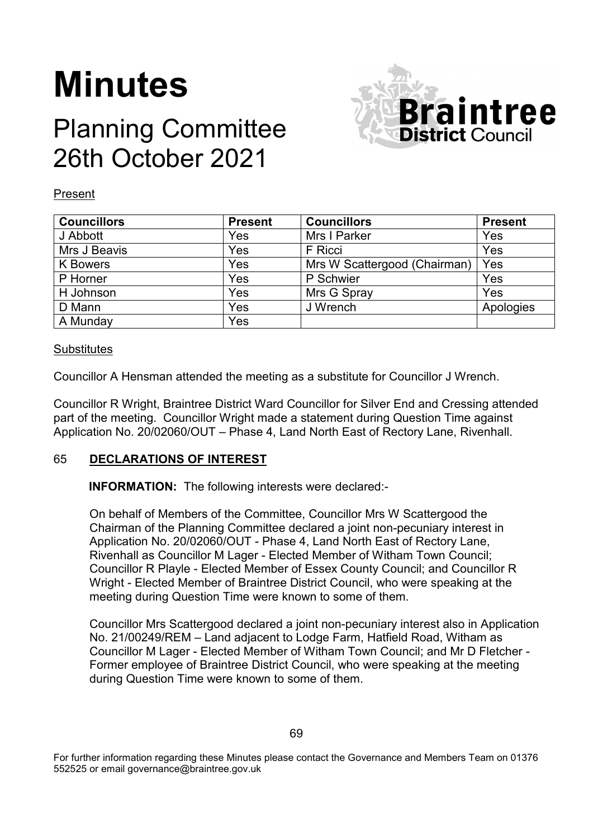# **Minutes**

# Planning Committee 26th October 2021



#### Present

| <b>Councillors</b> | <b>Present</b> | <b>Councillors</b>           | <b>Present</b> |
|--------------------|----------------|------------------------------|----------------|
| J Abbott           | Yes            | Mrs I Parker                 | Yes            |
| Mrs J Beavis       | Yes            | F Ricci                      | Yes            |
| <b>K</b> Bowers    | Yes            | Mrs W Scattergood (Chairman) | Yes            |
| P Horner           | Yes            | P Schwier                    | Yes            |
| H Johnson          | Yes            | Mrs G Spray                  | Yes            |
| D Mann             | Yes            | J Wrench                     | Apologies      |
| A Munday           | Yes            |                              |                |

#### **Substitutes**

Councillor A Hensman attended the meeting as a substitute for Councillor J Wrench.

Councillor R Wright, Braintree District Ward Councillor for Silver End and Cressing attended part of the meeting. Councillor Wright made a statement during Question Time against Application No. 20/02060/OUT – Phase 4, Land North East of Rectory Lane, Rivenhall.

## 65 **DECLARATIONS OF INTEREST**

**INFORMATION:** The following interests were declared:-

On behalf of Members of the Committee, Councillor Mrs W Scattergood the Chairman of the Planning Committee declared a joint non-pecuniary interest in Application No. 20/02060/OUT - Phase 4, Land North East of Rectory Lane, Rivenhall as Councillor M Lager - Elected Member of Witham Town Council; Councillor R Playle - Elected Member of Essex County Council; and Councillor R Wright - Elected Member of Braintree District Council, who were speaking at the meeting during Question Time were known to some of them.

Councillor Mrs Scattergood declared a joint non-pecuniary interest also in Application No. 21/00249/REM – Land adjacent to Lodge Farm, Hatfield Road, Witham as Councillor M Lager - Elected Member of Witham Town Council; and Mr D Fletcher - Former employee of Braintree District Council, who were speaking at the meeting during Question Time were known to some of them.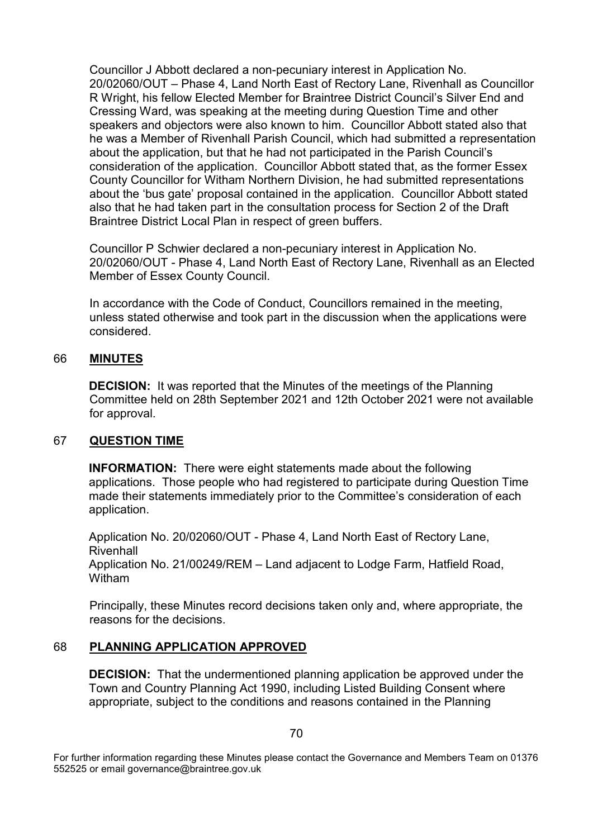Councillor J Abbott declared a non-pecuniary interest in Application No. 20/02060/OUT – Phase 4, Land North East of Rectory Lane, Rivenhall as Councillor R Wright, his fellow Elected Member for Braintree District Council's Silver End and Cressing Ward, was speaking at the meeting during Question Time and other speakers and objectors were also known to him. Councillor Abbott stated also that he was a Member of Rivenhall Parish Council, which had submitted a representation about the application, but that he had not participated in the Parish Council's consideration of the application. Councillor Abbott stated that, as the former Essex County Councillor for Witham Northern Division, he had submitted representations about the 'bus gate' proposal contained in the application. Councillor Abbott stated also that he had taken part in the consultation process for Section 2 of the Draft Braintree District Local Plan in respect of green buffers.

Councillor P Schwier declared a non-pecuniary interest in Application No. 20/02060/OUT - Phase 4, Land North East of Rectory Lane, Rivenhall as an Elected Member of Essex County Council.

In accordance with the Code of Conduct, Councillors remained in the meeting, unless stated otherwise and took part in the discussion when the applications were considered.

#### 66 **MINUTES**

**DECISION:** It was reported that the Minutes of the meetings of the Planning Committee held on 28th September 2021 and 12th October 2021 were not available for approval.

#### 67 **QUESTION TIME**

**INFORMATION:** There were eight statements made about the following applications. Those people who had registered to participate during Question Time made their statements immediately prior to the Committee's consideration of each application.

Application No. 20/02060/OUT - Phase 4, Land North East of Rectory Lane, **Rivenhall** Application No. 21/00249/REM – Land adjacent to Lodge Farm, Hatfield Road, Witham

Principally, these Minutes record decisions taken only and, where appropriate, the reasons for the decisions.

#### 68 **PLANNING APPLICATION APPROVED**

**DECISION:** That the undermentioned planning application be approved under the Town and Country Planning Act 1990, including Listed Building Consent where appropriate, subject to the conditions and reasons contained in the Planning

For further information regarding these Minutes please contact the Governance and Members Team on 01376 552525 or email governance@braintree.gov.uk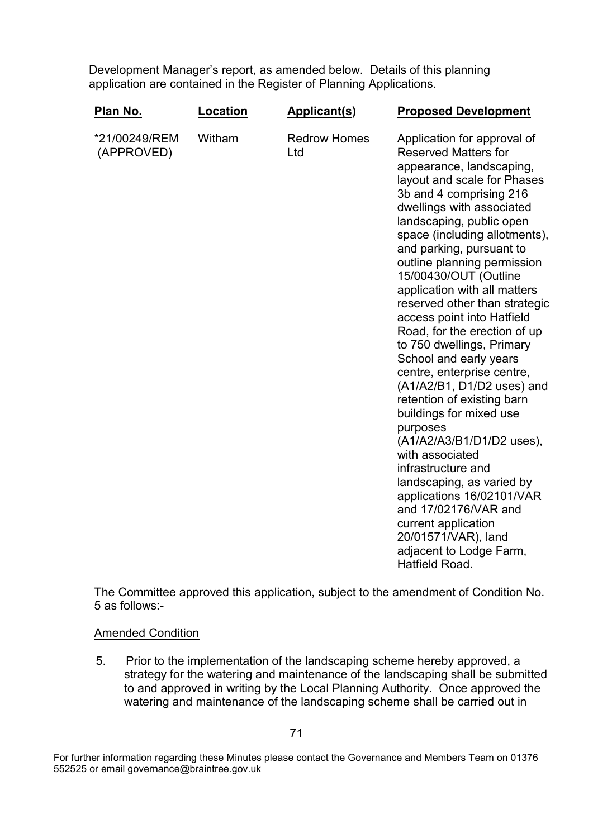Development Manager's report, as amended below. Details of this planning application are contained in the Register of Planning Applications.

| Plan No.                    | Location | <b>Applicant(s)</b>        | <b>Proposed Development</b>                                                                                                                                                                                                                                                                                                                                                                                                                                                                                                                                                                                                                                                                                                                                                                                                                                                                              |
|-----------------------------|----------|----------------------------|----------------------------------------------------------------------------------------------------------------------------------------------------------------------------------------------------------------------------------------------------------------------------------------------------------------------------------------------------------------------------------------------------------------------------------------------------------------------------------------------------------------------------------------------------------------------------------------------------------------------------------------------------------------------------------------------------------------------------------------------------------------------------------------------------------------------------------------------------------------------------------------------------------|
| *21/00249/REM<br>(APPROVED) | Witham   | <b>Redrow Homes</b><br>Ltd | Application for approval of<br><b>Reserved Matters for</b><br>appearance, landscaping,<br>layout and scale for Phases<br>3b and 4 comprising 216<br>dwellings with associated<br>landscaping, public open<br>space (including allotments),<br>and parking, pursuant to<br>outline planning permission<br>15/00430/OUT (Outline<br>application with all matters<br>reserved other than strategic<br>access point into Hatfield<br>Road, for the erection of up<br>to 750 dwellings, Primary<br>School and early years<br>centre, enterprise centre,<br>(A1/A2/B1, D1/D2 uses) and<br>retention of existing barn<br>buildings for mixed use<br>purposes<br>(A1/A2/A3/B1/D1/D2 uses),<br>with associated<br>infrastructure and<br>landscaping, as varied by<br>applications 16/02101/VAR<br>and 17/02176/VAR and<br>current application<br>20/01571/VAR), land<br>adjacent to Lodge Farm,<br>Hatfield Road. |

The Committee approved this application, subject to the amendment of Condition No. 5 as follows:-

#### Amended Condition

5. Prior to the implementation of the landscaping scheme hereby approved, a strategy for the watering and maintenance of the landscaping shall be submitted to and approved in writing by the Local Planning Authority. Once approved the watering and maintenance of the landscaping scheme shall be carried out in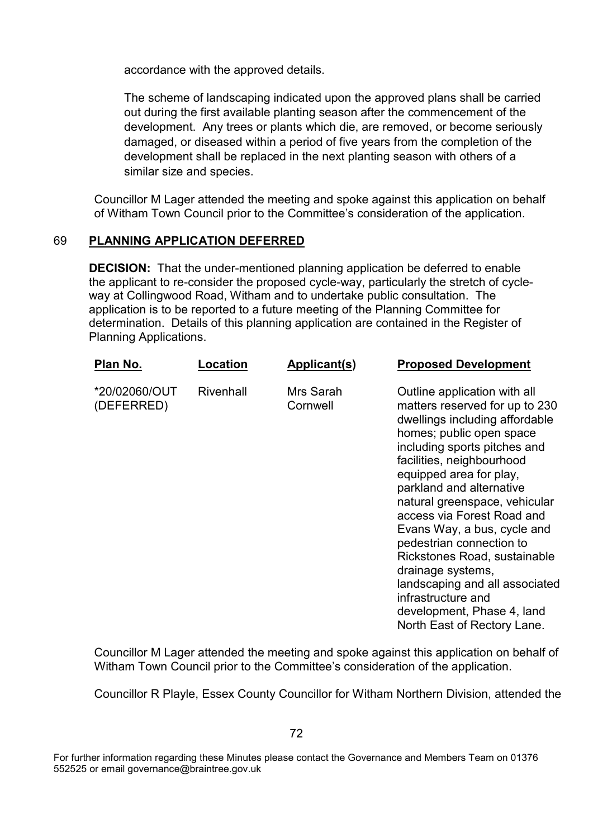accordance with the approved details.

The scheme of landscaping indicated upon the approved plans shall be carried out during the first available planting season after the commencement of the development. Any trees or plants which die, are removed, or become seriously damaged, or diseased within a period of five years from the completion of the development shall be replaced in the next planting season with others of a similar size and species.

Councillor M Lager attended the meeting and spoke against this application on behalf of Witham Town Council prior to the Committee's consideration of the application.

### 69 **PLANNING APPLICATION DEFERRED**

**DECISION:** That the under-mentioned planning application be deferred to enable the applicant to re-consider the proposed cycle-way, particularly the stretch of cycleway at Collingwood Road, Witham and to undertake public consultation. The application is to be reported to a future meeting of the Planning Committee for determination. Details of this planning application are contained in the Register of Planning Applications.

| Plan No.                    | Location  | <b>Applicant(s)</b>   | <b>Proposed Development</b>                                                                                                                                                                                                                                                                                                                                                                                                                                                                                                                          |
|-----------------------------|-----------|-----------------------|------------------------------------------------------------------------------------------------------------------------------------------------------------------------------------------------------------------------------------------------------------------------------------------------------------------------------------------------------------------------------------------------------------------------------------------------------------------------------------------------------------------------------------------------------|
| *20/02060/OUT<br>(DEFERRED) | Rivenhall | Mrs Sarah<br>Cornwell | Outline application with all<br>matters reserved for up to 230<br>dwellings including affordable<br>homes; public open space<br>including sports pitches and<br>facilities, neighbourhood<br>equipped area for play,<br>parkland and alternative<br>natural greenspace, vehicular<br>access via Forest Road and<br>Evans Way, a bus, cycle and<br>pedestrian connection to<br>Rickstones Road, sustainable<br>drainage systems,<br>landscaping and all associated<br>infrastructure and<br>development, Phase 4, land<br>North East of Rectory Lane. |

Councillor M Lager attended the meeting and spoke against this application on behalf of Witham Town Council prior to the Committee's consideration of the application.

Councillor R Playle, Essex County Councillor for Witham Northern Division, attended the